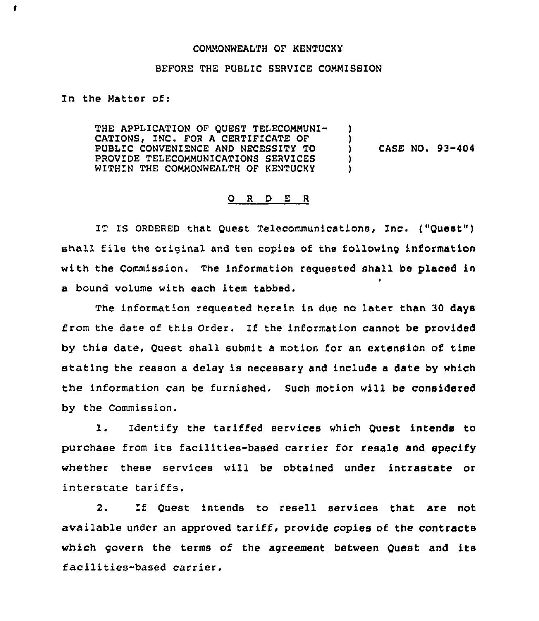## COMMONWEALTH OF KENTUCKY

## BEFORE THE PUBLIC SERVICE COMMISSION

In the Matter of:

 $\blacksquare$ 

THE APPLICATION OF QUEST TELECOMMUNI-CATIONS, INC. FOR A CERTIFICATE OF PUBLIC CONVENIENCE AND NECESSITY TO PROVIDE TELECOMMUNICATIONS SERVICES WITHIN THE COMMONWEALTH OF KENTUCKY ) ) CASE NO. 93-404 ) )

## 0 <sup>R</sup> <sup>D</sup> E <sup>R</sup>

IT IS ORDERED that Quest Telecommunications, Inc. ("Quest") shall file the original and ten copies of the following information with the Commission. The information reguested shall be placed in I a bound volume with each item tabbed.

The information requested herein is due no later than 30 days from the date of this order. If the information cannot be provided by this date, Quest shall submit a motion for an extension of time stating the reason a delay is necessary and include a date by which the information can be furnished. Such motion will be considered by the Commission.

1. Identify the tariffed services which Quest intends to purchase from its facilities-based carrier for resale and specify whether these services will be obtained under intrastate or interstate tariffs.

2. If Quest intends to resell services that are not available under an approved tariff, provide copies of the contracts which govern the terms of the agreement between Quest and its facilities-based carrier.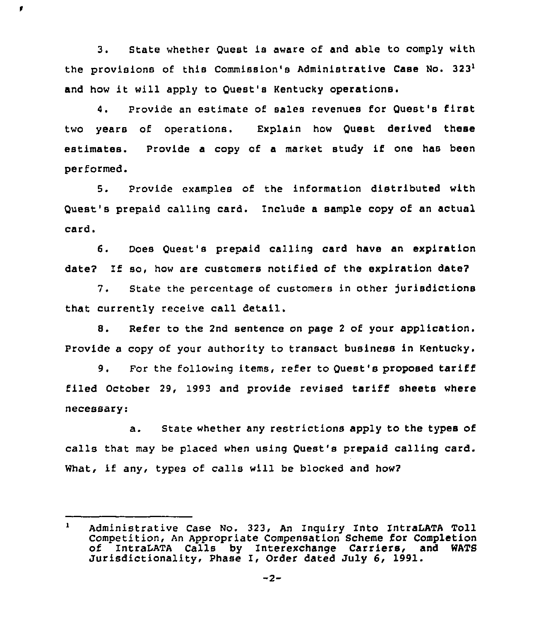3. State whether Quest is aware of and able to comply with the provisions of this Commission's Administrative Case No. 3231 and how it will apply to Ouest's Kentucky operations.

ř

4. Provide an estimate of sales revenues for Quest's first two years of operations. Explain how Quest derived these estimates. Provide <sup>a</sup> copy of <sup>a</sup> market study if one has been performed.

5. Provide examples of the information distributed with Quest's prepaid calling card. Include a sample copy of an actual card.

6. Does Quest's prepaid calling card have an expiration date? If so, how are customers notified of the expiration date?

7. State the percentage of customers in other jurisdictions that currently receive call detail.

8. Refer to the 2nd sentence on page <sup>2</sup> of your application. Provide a copy of your authority to transact business in Kentucky.

9. For the following items, refer to Quest's proposed tariff filed October 29, 1993 and provide revised tariff sheets where necessary:

a. State whether any restrictions apply to the types of calls that may be placed when using Quest's prepaid calling card. What, if any, types of calls will be blocked and how2

 $\mathbf{1}$ Administrative Case No. 323, An Inquiry Into IntraLATA Toll Competition, An Appropriate Compensation Scheme for Completion<br>of IntraLATA Calls by Interexchange Carriers, and WATS Jurisdictionality, Phase I, Order dated July 6, 1991.